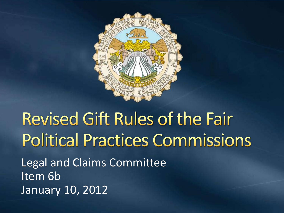

# **Revised Gift Rules of the Fair Political Practices Commissions**

Legal and Claims Committee Item 6b January 10, 2012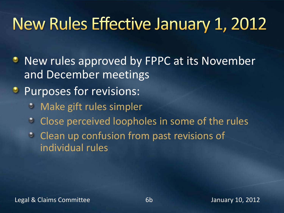### New Rules Effective January 1, 2012

- **New rules approved by FPPC at its November** and December meetings
- **Purposes for revisions:** 
	- $\bullet$ Make gift rules simpler
	- Close perceived loopholes in some of the rules  $\bullet$
	- **Clean up confusion from past revisions of** individual rules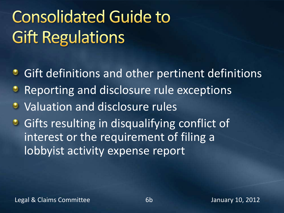# **Consolidated Guide to Gift Regulations**

- **Gift definitions and other pertinent definitions**
- Reporting and disclosure rule exceptions  $\bullet$
- **U** Valuation and disclosure rules
- **•** Gifts resulting in disqualifying conflict of interest or the requirement of filing a lobbyist activity expense report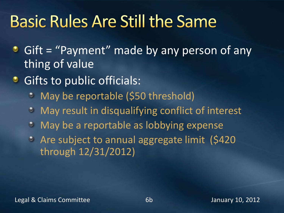### **Basic Rules Are Still the Same**

- Gift = "Payment" made by any person of any thing of value
- **•** Gifts to public officials:
	- May be reportable (\$50 threshold)  $\bullet$
	- May result in disqualifying conflict of interest  $\bullet$
	- May be a reportable as lobbying expense  $\bullet$
	- Are subject to annual aggregate limit (\$420 through 12/31/2012)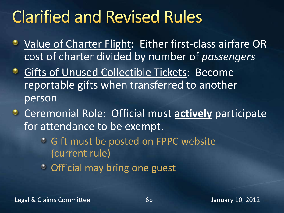### **Clarified and Revised Rules**

- **Value of Charter Flight: Either first-class airfare OR** cost of charter divided by number of *passengers*
- **Gifts of Unused Collectible Tickets: Become** reportable gifts when transferred to another person
- **C** Ceremonial Role: Official must **actively** participate for attendance to be exempt.
	- Gift must be posted on FPPC website (current rule)
	- **C** Official may bring one guest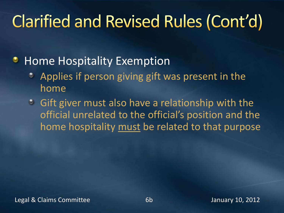## **Clarified and Revised Rules (Cont'd)**

#### Home Hospitality Exemption ۰

- Applies if person giving gift was present in the home
- Gift giver must also have a relationship with the official unrelated to the official's position and the home hospitality must be related to that purpose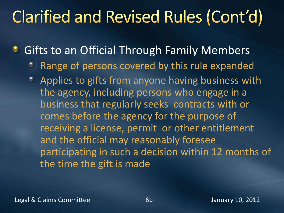### **Clarified and Revised Rules (Cont'd)**

Gifts to an Official Through Family Members ٠

- Range of persons covered by this rule expanded  $\bullet$
- Applies to gifts from anyone having business with the agency, including persons who engage in a business that regularly seeks contracts with or comes before the agency for the purpose of receiving a license, permit or other entitlement and the official may reasonably foresee participating in such a decision within 12 months of the time the gift is made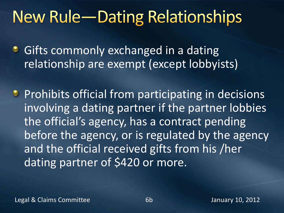### **New Rule-Dating Relationships**

**• Gifts commonly exchanged in a dating** relationship are exempt (except lobbyists)

**Prohibits official from participating in decisions** involving a dating partner if the partner lobbies the official's agency, has a contract pending before the agency, or is regulated by the agency and the official received gifts from his /her dating partner of \$420 or more.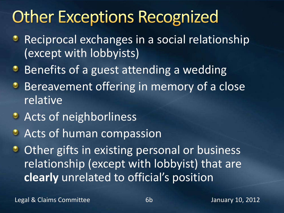### **Other Exceptions Recognized**

- Reciprocal exchanges in a social relationship ۰ (except with lobbyists)
- **Benefits of a guest attending a wedding**
- Bereavement offering in memory of a close ٥ relative
- **•** Acts of neighborliness
- **Acts of human compassion**
- Other gifts in existing personal or business  $\bullet$ relationship (except with lobbyist) that are **clearly** unrelated to official's position

Legal & Claims Committee 6b January 10, 2012